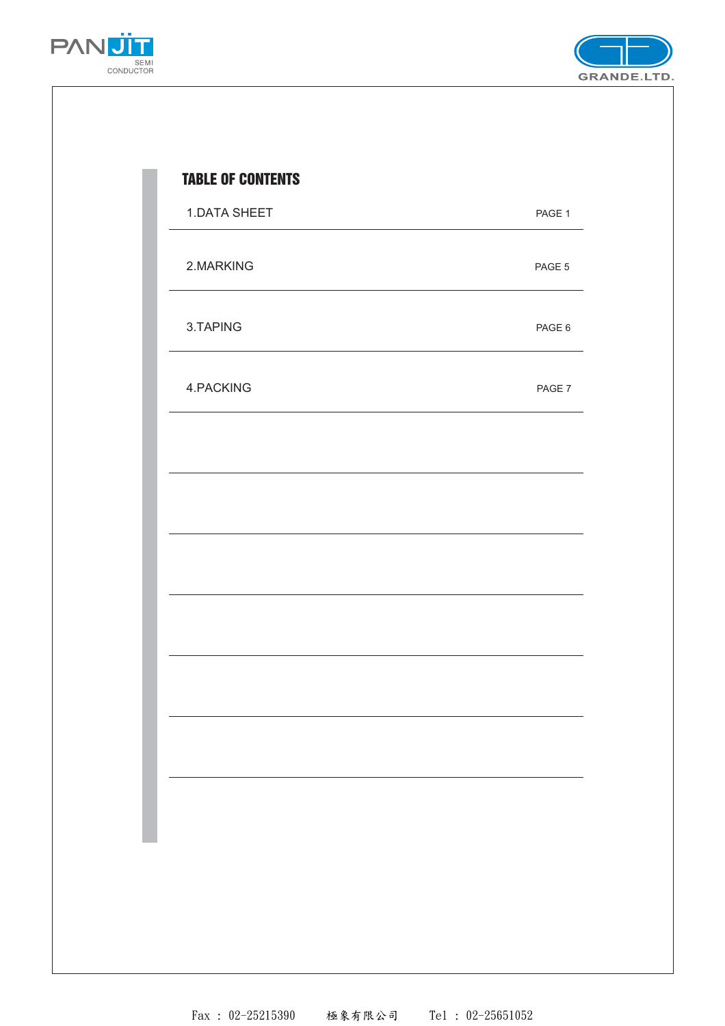



| 1.DATA SHEET | PAGE 1 |
|--------------|--------|
| 2.MARKING    | PAGE 5 |
| 3.TAPING     | PAGE 6 |
| 4.PACKING    | PAGE 7 |
|              |        |
|              |        |
|              |        |
|              |        |
|              |        |
|              |        |
|              |        |
|              |        |
|              |        |

Fax : 02-25215390 極象有限公司 Tel : 02-25651052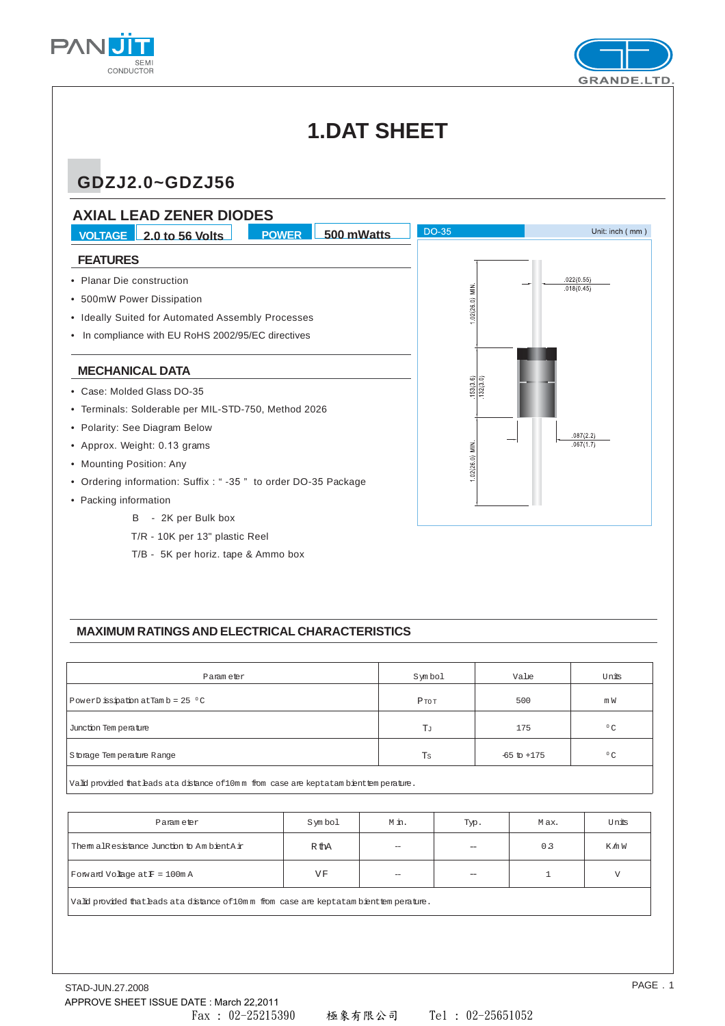



## **1.DAT SHEET**

### **GDZJ2.0~GDZJ56**



T/B - 5K per horiz. tape & Ammo box

#### **MAXIMUM RATINGS AND ELECTRICAL CHARACTERISTICS**

| Param eter                           | Symbol   | Value           | Units        |
|--------------------------------------|----------|-----------------|--------------|
| PowerD issipation at Tam $b = 25$ °C | $P$ TO T | 500             | m W          |
| Junction Tem perature                | Tл       | 175             | $^{\circ}$ C |
| Storage Tem perature Range           | Ts       | $-65$ to $+175$ | $^{\circ}$ C |

Vald provided that hads at adistance of 10mm from case are keptatam bient temperature.

| Parameter                                                                                                                                                                                                                     | Symbol | M in.                    | Typ. | Max.           | Units  |  |  |  |  |  |
|-------------------------------------------------------------------------------------------------------------------------------------------------------------------------------------------------------------------------------|--------|--------------------------|------|----------------|--------|--|--|--|--|--|
| Them alResistance Junction to Am bient Air                                                                                                                                                                                    | R thA  | $\overline{\phantom{0}}$ |      | 0 <sub>3</sub> | K /n W |  |  |  |  |  |
| Forward Volage $atF = 100mA$                                                                                                                                                                                                  | VF     | $\hspace{0.05cm}$        |      |                |        |  |  |  |  |  |
| . The second contract is a second contract of the second contract of the second contract of the second contract of the second contract of the second contract of the second contract of the second contract of the second con |        |                          |      |                |        |  |  |  |  |  |

.<br>Vald provided that bads ata distance of 10mm from case are keptatam bienttemperature.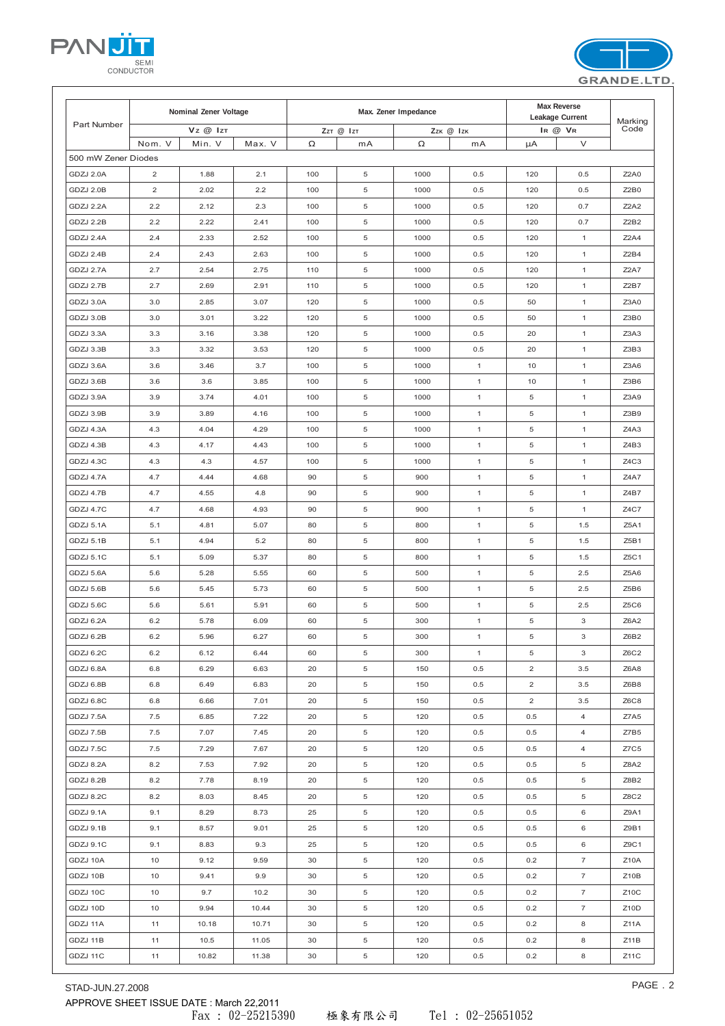STAD-JUN.27.2008 PAGE . 2 APPROVE SHEET ISSUE DATE : March 22,2011

|  | Tel : 02-25651052 |
|--|-------------------|

|                     | Nominal Zener Voltage |          |        |     | Max. Zener Impedance |           | Leakage Current | Marking        |                |                               |
|---------------------|-----------------------|----------|--------|-----|----------------------|-----------|-----------------|----------------|----------------|-------------------------------|
| Part Number         |                       | Vz @ IzT |        |     | ZzT @ IzT            | Zzk @ Izk |                 |                | IR @ VR        | Code                          |
|                     | Nom. V                | Min. V   | Max. V | Ω   | mA                   | Ω         | mA              | μA             | $\vee$         |                               |
| 500 mW Zener Diodes |                       |          |        |     |                      |           |                 |                |                |                               |
| GDZJ 2.0A           | 2                     | 1.88     | 2.1    | 100 | 5                    | 1000      | 0.5             | 120            | 0.5            | <b>Z2A0</b>                   |
| GDZJ 2.0B           | $\overline{2}$        | 2.02     | 2.2    | 100 | 5                    | 1000      | 0.5             | 120            | 0.5            | Z2B0                          |
| GDZJ 2.2A           | 2.2                   | 2.12     | 2.3    | 100 | 5                    | 1000      | 0.5             | 120            | 0.7            | <b>Z2A2</b>                   |
| GDZJ 2.2B           | 2.2                   | 2.22     | 2.41   | 100 | 5                    | 1000      | 0.5             | 120            | 0.7            | Z <sub>2</sub> B <sub>2</sub> |
| GDZJ 2.4A           | 2.4                   | 2.33     | 2.52   | 100 | 5                    | 1000      | 0.5             | 120            | $\mathbf{1}$   | Z2A4                          |
| GDZJ 2.4B           | 2.4                   | 2.43     | 2.63   | 100 | 5                    | 1000      | 0.5             | 120            | $\mathbf{1}$   | Z2B4                          |
| GDZJ 2.7A           | 2.7                   | 2.54     | 2.75   | 110 | 5                    | 1000      | 0.5             | 120            | $\mathbf{1}$   | <b>Z2A7</b>                   |
| GDZJ 2.7B           | 2.7                   | 2.69     | 2.91   | 110 | 5                    | 1000      | 0.5             | 120            | $\mathbf{1}$   | Z <sub>2</sub> B7             |
| GDZJ 3.0A           | 3.0                   | 2.85     | 3.07   | 120 | 5                    | 1000      | 0.5             | 50             | $\mathbf{1}$   | Z3A0                          |
| GDZJ 3.0B           | 3.0                   | 3.01     | 3.22   | 120 | 5                    | 1000      | 0.5             | 50             | $\mathbf{1}$   | Z3B0                          |
| GDZJ 3.3A           | 3.3                   | 3.16     | 3.38   | 120 | 5                    | 1000      | 0.5             | 20             | $\mathbf{1}$   | Z3A3                          |
| GDZJ 3.3B           | 3.3                   | 3.32     | 3.53   | 120 | 5                    | 1000      | 0.5             | 20             | $\mathbf{1}$   | Z3B3                          |
| GDZJ 3.6A           | 3.6                   | 3.46     | 3.7    | 100 | 5                    | 1000      | $\mathbf{1}$    | 10             | $\mathbf{1}$   | Z3A6                          |
| GDZJ 3.6B           | 3.6                   | 3.6      | 3.85   | 100 | 5                    | 1000      | $\mathbf{1}$    | 10             | $\mathbf{1}$   | Z3B6                          |
| GDZJ 3.9A           | 3.9                   | 3.74     | 4.01   | 100 | 5                    | 1000      | $\mathbf{1}$    | 5              | $\mathbf{1}$   | Z3A9                          |
| GDZJ 3.9B           | 3.9                   | 3.89     | 4.16   | 100 | 5                    | 1000      | $\mathbf{1}$    | 5              | $\mathbf{1}$   | Z3B9                          |
| GDZJ 4.3A           | 4.3                   | 4.04     | 4.29   | 100 | 5                    | 1000      | $\mathbf{1}$    | 5              | $\mathbf{1}$   | Z4A3                          |
| GDZJ 4.3B           | 4.3                   | 4.17     | 4.43   | 100 | 5                    | 1000      | $\mathbf{1}$    | 5              | $\mathbf{1}$   | Z4B3                          |
| GDZJ 4.3C           | 4.3                   | 4.3      | 4.57   | 100 | 5                    | 1000      | $\mathbf{1}$    | 5              | $\mathbf{1}$   | Z4C3                          |
| GDZJ 4.7A           | 4.7                   | 4.44     | 4.68   | 90  | 5                    | 900       | $\mathbf{1}$    | 5              | $\mathbf{1}$   | Z4A7                          |
| GDZJ 4.7B           | 4.7                   | 4.55     | 4.8    | 90  | 5                    | 900       | $\mathbf{1}$    | 5              | $\mathbf{1}$   | Z4B7                          |
| GDZJ 4.7C           | 4.7                   | 4.68     | 4.93   | 90  | 5                    | 900       | $\mathbf{1}$    | 5              | $\mathbf{1}$   | Z4C7                          |
| GDZJ 5.1A           | 5.1                   | 4.81     | 5.07   | 80  | 5                    | 800       | $\mathbf{1}$    | 5              | 1.5            | Z5A1                          |
| GDZJ 5.1B           | 5.1                   | 4.94     | 5.2    | 80  | 5                    | 800       | $\mathbf{1}$    | 5              | 1.5            | Z5B1                          |
| GDZJ 5.1C           | 5.1                   | 5.09     | 5.37   | 80  | 5                    | 800       | $\mathbf{1}$    | 5              | 1.5            | Z5C1                          |
| GDZJ 5.6A           | 5.6                   | 5.28     | 5.55   | 60  | 5                    | 500       | $\mathbf{1}$    | 5              | 2.5            | Z5A6                          |
| GDZJ 5.6B           | 5.6                   | 5.45     | 5.73   | 60  | 5                    | 500       | $\mathbf{1}$    | 5              | 2.5            | Z5B6                          |
| GDZJ 5.6C           | 5.6                   | 5.61     | 5.91   | 60  | 5                    | 500       | $\mathbf{1}$    | 5              | 2.5            | Z <sub>5</sub> C <sub>6</sub> |
| GDZJ 6.2A           | 6.2                   | 5.78     | 6.09   | 60  | 5                    | 300       | $\mathbf{1}$    | 5              | 3              | Z6A2                          |
| GDZJ 6.2B           | 6.2                   | 5.96     | 6.27   | 60  | 5                    | 300       | $\mathbf{1}$    | 5              | 3              | Z6B2                          |
| GDZJ 6.2C           | 6.2                   | 6.12     | 6.44   | 60  | 5                    | 300       | $\mathbf{1}$    | 5              | 3              | Z6C2                          |
| GDZJ 6.8A           | 6.8                   | 6.29     | 6.63   | 20  | 5                    | 150       | 0.5             | 2              | 3.5            | Z6A8                          |
| GDZJ 6.8B           | 6.8                   | 6.49     | 6.83   | 20  | 5                    | 150       | 0.5             | 2              | 3.5            | Z6B8                          |
| GDZJ 6.8C           | 6.8                   | 6.66     | 7.01   | 20  | 5                    | 150       | 0.5             | $\overline{c}$ | 3.5            | Z6C8                          |
| GDZJ 7.5A           | 7.5                   | 6.85     | 7.22   | 20  | 5                    | 120       | 0.5             | 0.5            | 4              | Z7A5                          |
| GDZJ 7.5B           | 7.5                   | 7.07     | 7.45   | 20  | 5                    | 120       | 0.5             | 0.5            | 4              | Z7B5                          |
| GDZJ 7.5C           | 7.5                   | 7.29     | 7.67   | 20  | 5                    | 120       | 0.5             | 0.5            | 4              | Z7C5                          |
| GDZJ 8.2A           | 8.2                   | 7.53     | 7.92   | 20  | 5                    | 120       | 0.5             | 0.5            | 5              | Z8A2                          |
| GDZJ 8.2B           | 8.2                   | 7.78     | 8.19   | 20  | 5                    | 120       | 0.5             | 0.5            | 5              | Z8B2                          |
| GDZJ 8.2C           | 8.2                   | 8.03     | 8.45   | 20  | 5                    | 120       | 0.5             | 0.5            | 5              | Z8C2                          |
| GDZJ 9.1A           | 9.1                   | 8.29     | 8.73   | 25  | 5                    | 120       | 0.5             | 0.5            | 6              | Z9A1                          |
| GDZJ 9.1B           | 9.1                   | 8.57     | 9.01   | 25  | 5                    | 120       | 0.5             | 0.5            | 6              | Z9B1                          |
| GDZJ 9.1C           | 9.1                   | 8.83     | 9.3    | 25  | 5                    | 120       | 0.5             | 0.5            | 6              | Z9C1                          |
| GDZJ 10A            | 10                    | 9.12     | 9.59   | 30  | 5                    | 120       | 0.5             | 0.2            | $\overline{7}$ | Z10A                          |
| GDZJ 10B            | 10                    | 9.41     | 9.9    | 30  | 5                    | 120       | 0.5             | 0.2            | 7              | Z <sub>10</sub> B             |
| GDZJ 10C            | 10                    | 9.7      | 10.2   | 30  | 5                    | 120       | 0.5             | 0.2            | 7              | Z10C                          |
| GDZJ 10D            | 10                    | 9.94     | 10.44  | 30  | 5                    | 120       | 0.5             | 0.2            | 7              | Z <sub>1</sub> 0D             |
| GDZJ 11A            | 11                    | 10.18    | 10.71  | 30  | 5                    | 120       | 0.5             | 0.2            | 8              | Z11A                          |
| GDZJ 11B            | 11                    | 10.5     | 11.05  | 30  | 5                    | 120       | 0.5             | 0.2            | 8              | Z11B                          |
| GDZJ 11C            | 11                    | 10.82    | 11.38  | 30  | 5                    | 120       | 0.5             | 0.2            | 8              | Z11C                          |
|                     |                       |          |        |     |                      |           |                 |                |                |                               |

**Nominal Zener Voltage and Construction Construction Construction Max. Zener Impedance and Construction Current Construction Current Construction Current Current Current Current Current Current Current Current Current Curr** 



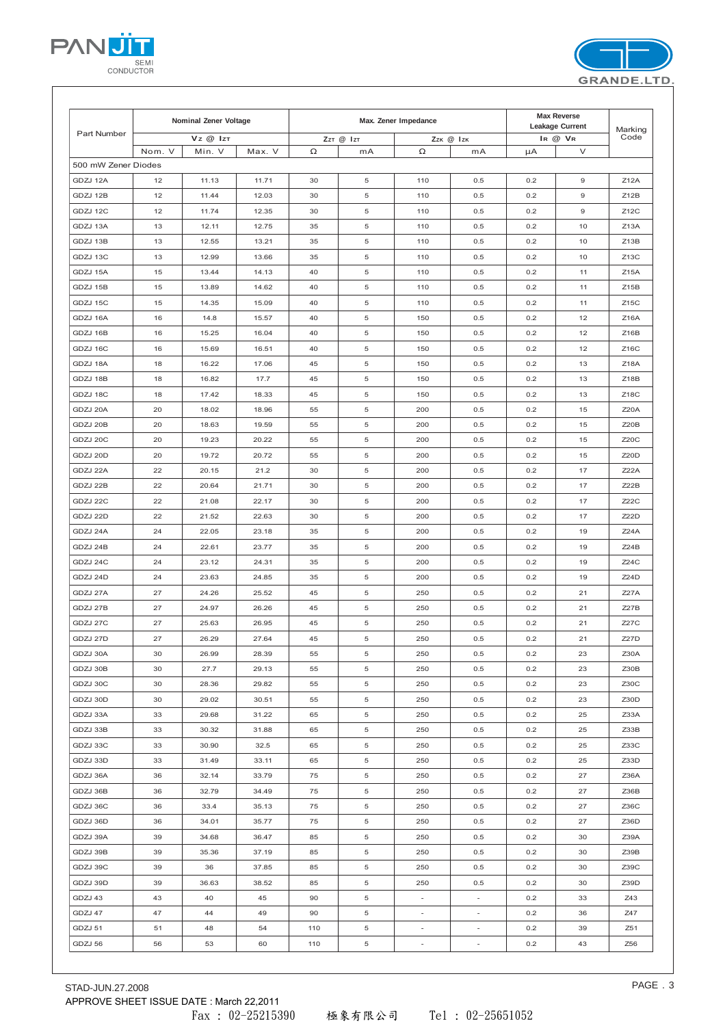|                     | Nominal Zener Voltage |                |        | Max. Zener Impedance |           |                          |                          | Max Reverse<br>Leakage Current |             |                   |
|---------------------|-----------------------|----------------|--------|----------------------|-----------|--------------------------|--------------------------|--------------------------------|-------------|-------------------|
| Part Number         |                       | $Vz \ @$ $IzT$ |        |                      | ZzT @ IzT |                          | Zzk @ Izk                |                                | IR @ VR     | Marking<br>Code   |
|                     | Nom. V                | Min. V         | Max. V | Ω                    | mA        | $\Omega$                 | mA                       | $\mu$ A                        | V           |                   |
| 500 mW Zener Diodes |                       |                |        |                      |           |                          |                          |                                |             |                   |
| GDZJ 12A            | 12                    | 11.13          | 11.71  | 30                   | 5         | 110                      | 0.5                      | 0.2                            | $\mathsf g$ | Z12A              |
| GDZJ 12B            | 12                    | 11.44          | 12.03  | 30                   | 5         | 110                      | 0.5                      | 0.2                            | $\mathsf g$ | Z12B              |
| GDZJ 12C            | 12                    | 11.74          | 12.35  | 30                   | 5         | 110                      | 0.5                      | 0.2                            | $\mathsf g$ | Z12C              |
| GDZJ 13A            | 13                    | 12.11          | 12.75  | 35                   | 5         | 110                      | 0.5                      | 0.2                            | 10          | Z <sub>13</sub> A |
| GDZJ 13B            | 13                    | 12.55          | 13.21  | 35                   | 5         | 110                      | 0.5                      | 0.2                            | 10          | Z13B              |
| GDZJ 13C            | 13                    | 12.99          | 13.66  | 35                   | 5         | 110                      | 0.5                      | 0.2                            | 10          | $Z$ 13 $C$        |
| GDZJ 15A            | 15                    | 13.44          | 14.13  | 40                   | 5         | 110                      | 0.5                      | 0.2                            | 11          | Z15A              |
| GDZJ 15B            | 15                    | 13.89          | 14.62  | 40                   | 5         | 110                      | 0.5                      | 0.2                            | 11          | Z15B              |
| GDZJ 15C            | 15                    | 14.35          | 15.09  | 40                   | 5         | 110                      | 0.5                      | 0.2                            | 11          | Z15C              |
| GDZJ 16A            | 16                    | 14.8           | 15.57  | 40                   | 5         | 150                      | 0.5                      | 0.2                            | 12          | Z16A              |
| GDZJ 16B            | 16                    | 15.25          | 16.04  | 40                   | 5         | 150                      | 0.5                      | 0.2                            | 12          | Z16B              |
| GDZJ 16C            | 16                    | 15.69          | 16.51  | 40                   | 5         | 150                      | 0.5                      | 0.2                            | 12          | Z16C              |
| GDZJ 18A            | 18                    | 16.22          | 17.06  | 45                   | 5         | 150                      | 0.5                      | 0.2                            | 13          | Z18A              |
| GDZJ 18B            | 18                    | 16.82          | 17.7   | 45                   | 5         | 150                      | 0.5                      | 0.2                            | 13          | Z18B              |
| GDZJ 18C            | 18                    | 17.42          | 18.33  | 45                   | 5         | 150                      | 0.5                      | 0.2                            | 13          | Z18C              |
| GDZJ 20A            | 20                    | 18.02          | 18.96  | 55                   | 5         | 200                      | 0.5                      | 0.2                            | 15          | Z20A              |
| GDZJ 20B            | 20                    | 18.63          | 19.59  | 55                   | 5         | 200                      | 0.5                      | 0.2                            | 15          | Z20B              |
| GDZJ 20C            | 20                    | 19.23          | 20.22  | 55                   | 5         | 200                      | 0.5                      | 0.2                            | 15          | Z20C              |
| GDZJ 20D            | 20                    | 19.72          | 20.72  | 55                   | 5         | 200                      | 0.5                      | 0.2                            | 15          | Z20D              |
| GDZJ 22A            | 22                    | 20.15          | 21.2   | 30                   | 5         | 200                      | 0.5                      | 0.2                            | 17          | Z22A              |
| GDZJ 22B            | 22                    | 20.64          | 21.71  | 30                   | 5         | 200                      | 0.5                      | 0.2                            | 17          | Z22B              |
| GDZJ 22C            | 22                    | 21.08          | 22.17  | 30                   | 5         | 200                      | 0.5                      | 0.2                            | 17          | Z22C              |
| GDZJ 22D            | 22                    | 21.52          | 22.63  | 30                   | 5         | 200                      | 0.5                      | 0.2                            | 17          | Z22D              |
| GDZJ 24A            | 24                    | 22.05          | 23.18  | 35                   | 5         | 200                      | 0.5                      | 0.2                            | 19          | Z24A              |
| GDZJ 24B            | 24                    | 22.61          | 23.77  | 35                   | 5         | 200                      | 0.5                      | 0.2                            | 19          | Z24B              |
| GDZJ 24C            | 24                    | 23.12          | 24.31  | 35                   | 5         | 200                      | 0.5                      | 0.2                            | 19          | Z24C              |
| GDZJ 24D            | 24                    | 23.63          | 24.85  | 35                   | 5         | 200                      | 0.5                      | 0.2                            | 19          | Z24D              |
| GDZJ 27A            | 27                    | 24.26          | 25.52  | 45                   | 5         | 250                      | 0.5                      | 0.2                            | 21          | <b>Z27A</b>       |
| GDZJ 27B            | 27                    | 24.97          | 26.26  | 45                   | 5         | 250                      | 0.5                      | 0.2                            | 21          | Z27B              |
| GDZJ 27C            | 27                    | 25.63          | 26.95  | 45                   | 5         | 250                      | 0.5                      | 0.2                            | 21          | Z27C              |
| GDZJ 27D            | 27                    | 26.29          | 27.64  | 45                   | 5         | 250                      | 0.5                      | 0.2                            | 21          | <b>Z27D</b>       |
| GDZJ 30A            | 30                    | 26.99          | 28.39  | 55                   | 5         | 250                      | 0.5                      | 0.2                            | 23          | Z30A              |
| GDZJ 30B            | 30                    | 27.7           | 29.13  | 55                   | 5         | 250                      | 0.5                      | 0.2                            | 23          | Z30B              |
| GDZJ 30C            | 30                    | 28.36          | 29.82  | 55                   | 5         | 250                      | 0.5                      | 0.2                            | 23          | Z30C              |
| GDZJ 30D            | 30                    | 29.02          | 30.51  | 55                   | 5         | 250                      | 0.5                      | 0.2                            | 23          | Z30D              |
| GDZJ 33A            | 33                    | 29.68          | 31.22  | 65                   | 5         | 250                      | 0.5                      | 0.2                            | 25          | Z33A              |
| GDZJ 33B            | 33                    | 30.32          | 31.88  | 65                   | 5         | 250                      | 0.5                      | 0.2                            | 25          | Z33B              |
| GDZJ 33C            | 33                    | 30.90          | 32.5   | 65                   | 5         | 250                      | 0.5                      | 0.2                            | 25          | Z33C              |
| GDZJ 33D            | 33                    | 31.49          | 33.11  | 65                   | 5         | 250                      | 0.5                      | 0.2                            | 25          | Z33D              |
| GDZJ 36A            | 36                    | 32.14          | 33.79  | 75                   | 5         | 250                      | 0.5                      | 0.2                            | 27          | Z36A              |
| GDZJ 36B            | 36                    | 32.79          | 34.49  | 75                   | 5         | 250                      | 0.5                      | 0.2                            | 27          | Z36B              |
|                     |                       |                |        |                      |           | 250                      | 0.5                      |                                |             | Z36C              |
| GDZJ 36C            | 36                    | 33.4           | 35.13  | 75                   | 5         |                          |                          | 0.2                            | 27          |                   |
| GDZJ 36D            | 36                    | 34.01          | 35.77  | 75                   | 5         | 250                      | 0.5                      | 0.2                            | 27          | Z36D              |
| GDZJ 39A            | 39                    | 34.68          | 36.47  | 85                   | 5         | 250                      | 0.5                      | 0.2                            | 30          | Z39A              |
| GDZJ 39B            | 39                    | 35.36          | 37.19  | 85                   | 5         | 250                      | 0.5                      | 0.2                            | 30          | Z39B              |
| GDZJ 39C            | 39                    | 36             | 37.85  | 85                   | 5         | 250                      | 0.5                      | 0.2                            | 30          | Z39C              |
| GDZJ 39D            | 39                    | 36.63          | 38.52  | 85                   | 5         | 250                      | 0.5                      | 0.2                            | 30          | Z39D              |
| GDZJ 43             | 43                    | 40             | 45     | 90                   | 5         | $\sim$                   | $\sim$                   | 0.2                            | 33          | Z43               |
| GDZJ 47             | 47                    | 44             | 49     | 90                   | 5         | $\blacksquare$           | $\equiv$                 | 0.2                            | 36          | Z47               |
| GDZJ 51             | 51                    | 48             | 54     | 110                  | 5         | $\overline{\phantom{a}}$ | $\overline{\phantom{a}}$ | 0.2                            | 39          | Z51               |
| GDZJ 56             | 56                    | 53             | 60     | 110                  | 5         | $\overline{\phantom{a}}$ | $\overline{\phantom{a}}$ | 0.2                            | 43          | Z56               |



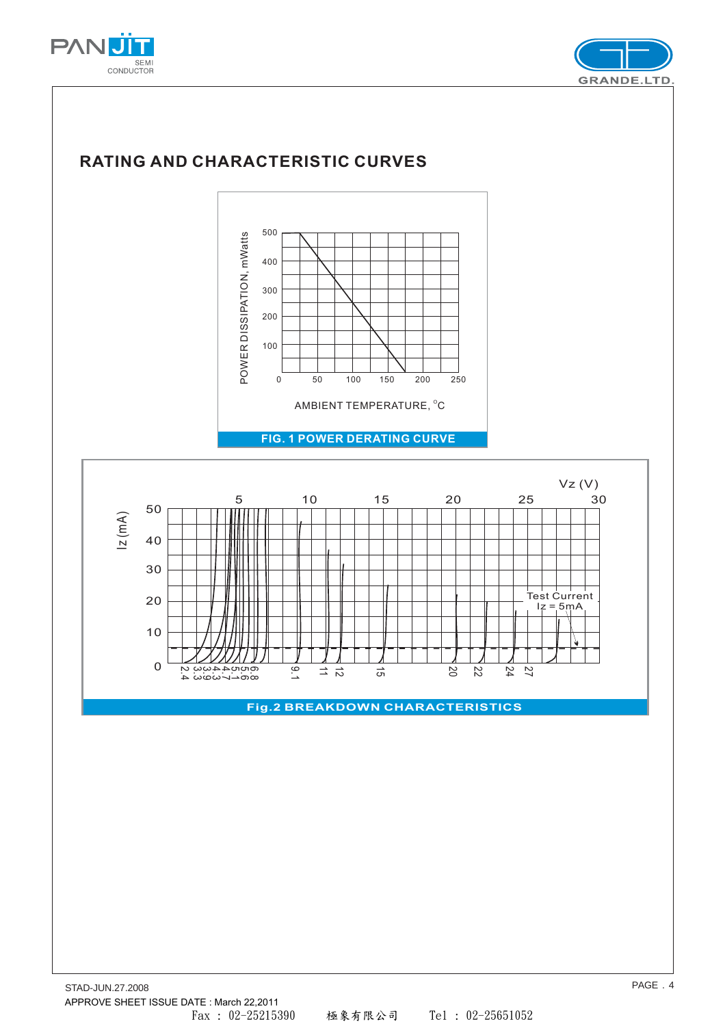





APPROVE SHEET ISSUE DATE : March 22,2011

Fax : 02-25215390 極象有限公司 Tel : 02-25651052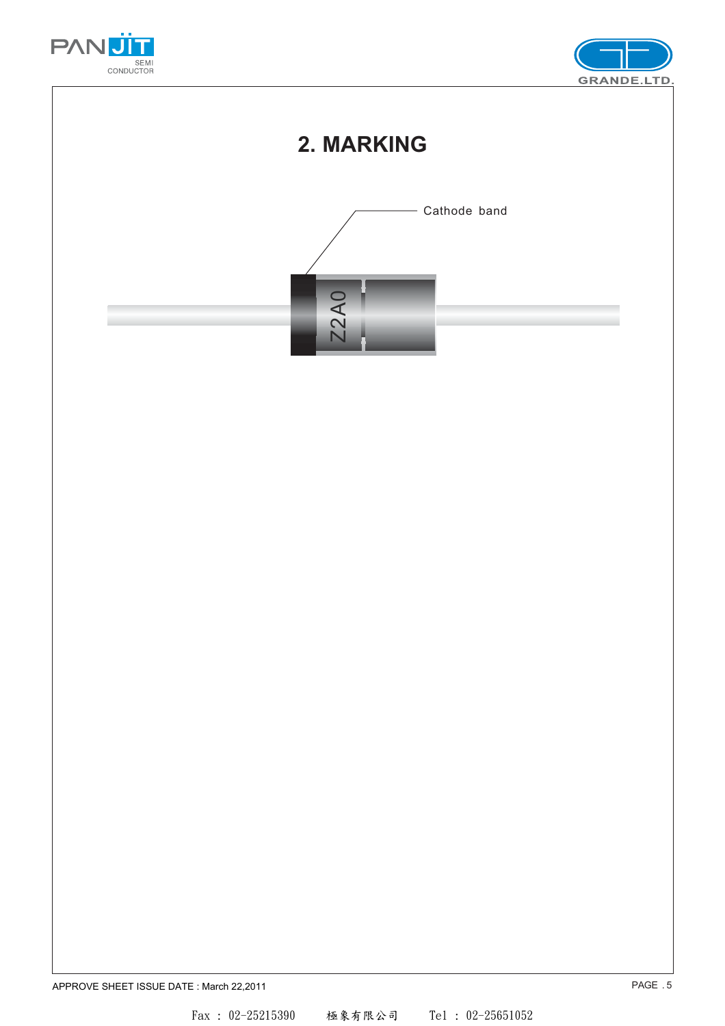



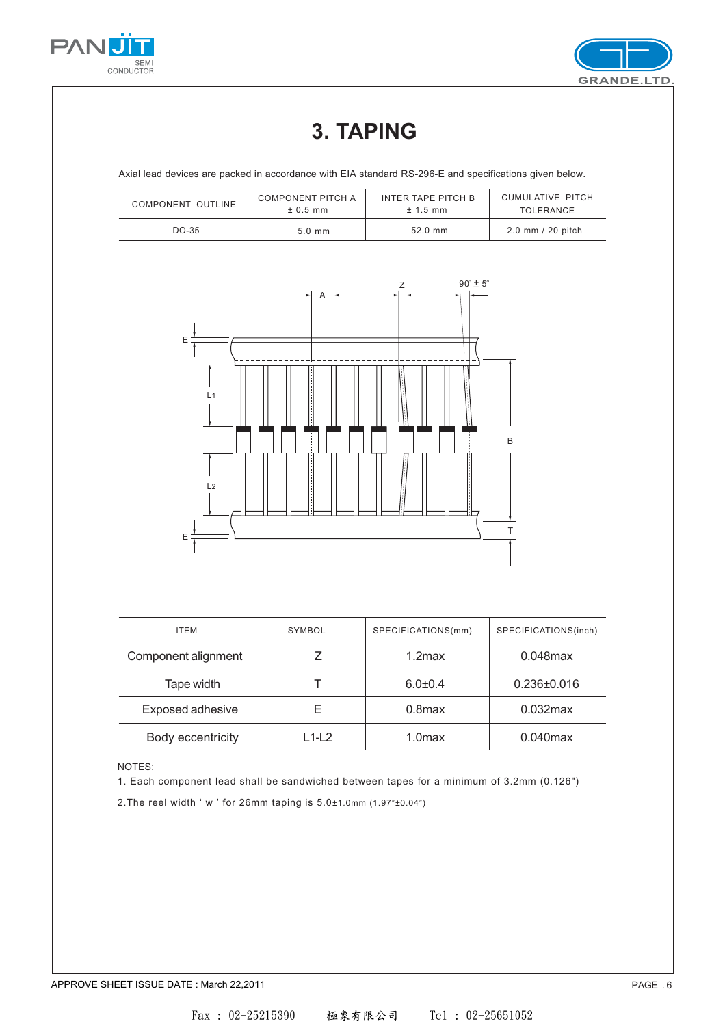



# **3. TAPING**

Axial lead devices are packed in accordance with EIA standard RS-296-E and specifications given below.

| COMPONENT OUTLINE | COMPONENT PITCH A | INTER TAPE PITCH B | CUMULATIVE PITCH  |
|-------------------|-------------------|--------------------|-------------------|
|                   | $± 0.5$ mm        | $± 1.5$ mm         | <b>TOLERANCE</b>  |
| $DO-35$           | $5.0 \text{ mm}$  | $52.0$ mm          | 2.0 mm / 20 pitch |



| <b>ITEM</b>         | SYMBOL | SPECIFICATIONS(mm) | SPECIFICATIONS(inch) |  |
|---------------------|--------|--------------------|----------------------|--|
| Component alignment |        | $1.2$ max          | $0.048$ max          |  |
| Tape width          |        | $6.0 + 0.4$        | $0.236 \pm 0.016$    |  |
| Exposed adhesive    | F      | $0.8$ max          | $0.032$ max          |  |
| Body eccentricity   | L1-L2  | 1.0 <sub>max</sub> | $0.040$ max          |  |

#### NOTES:

1. Each component lead shall be sandwiched between tapes for a minimum of 3.2mm (0.126")

2.The reel width ' w ' for 26mm taping is 5.0±1.0mm (1.97"±0.04")

APPROVE SHEET ISSUE DATE : March 22,2011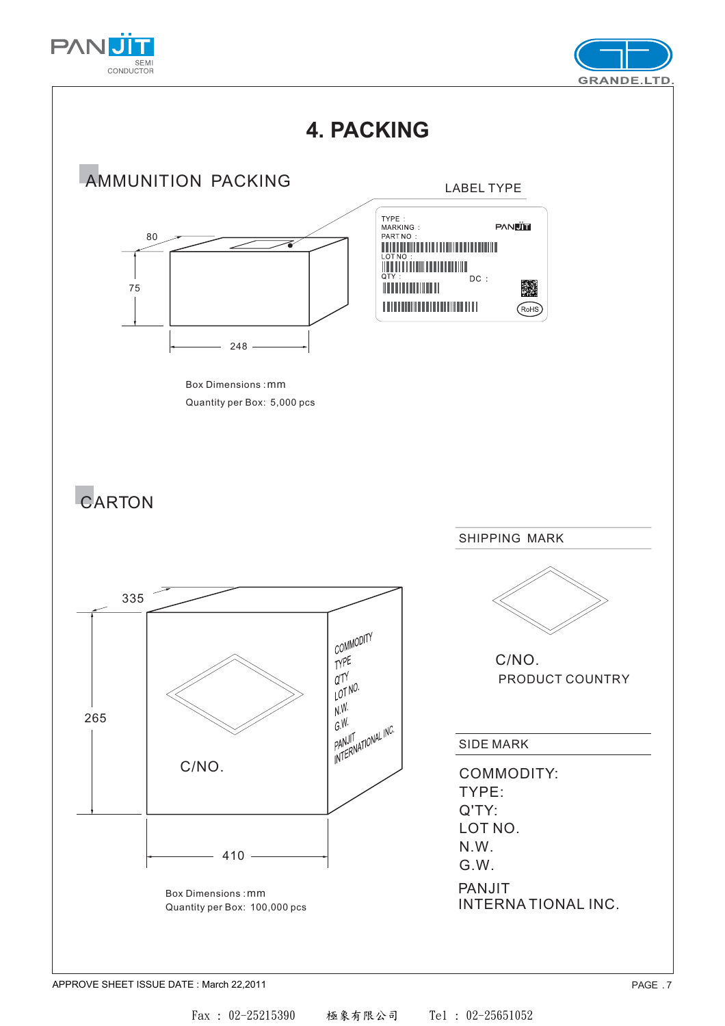





APPROVE SHEET ISSUE DATE : March 22,2011

Fax : 02-25215390 極象有限公司 Tel : 02-25651052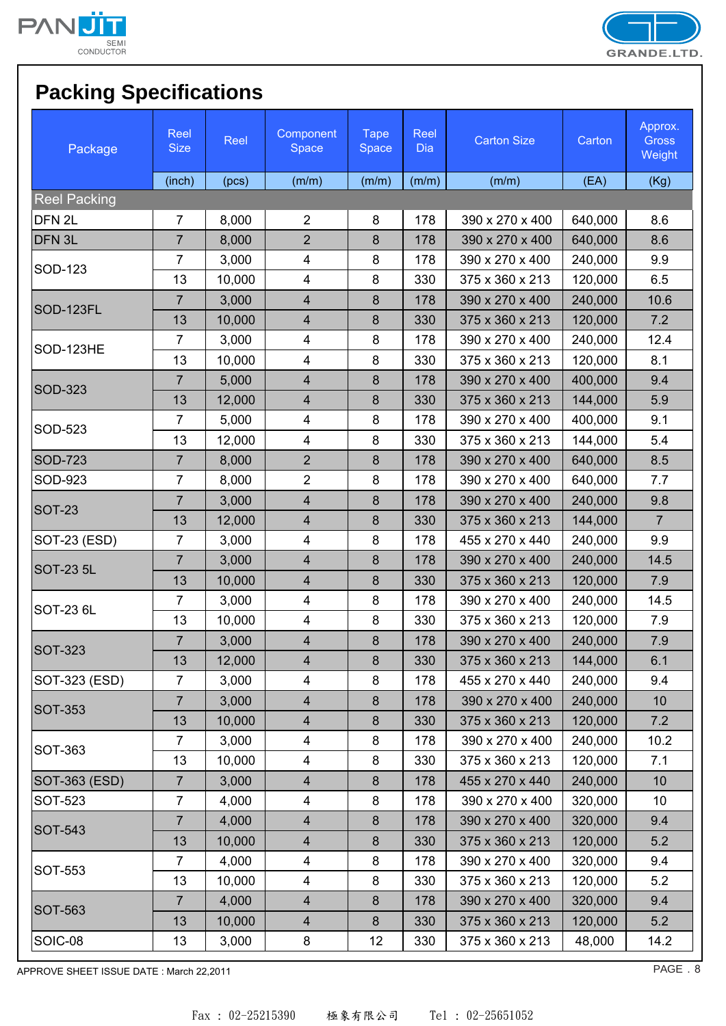



# **Packing Specifications**

| Package             | Reel<br><b>Size</b> | Reel   | Component<br>Space      | <b>Tape</b><br>Space | Reel<br><b>Dia</b> | <b>Carton Size</b> | Carton  | Approx.<br><b>Gross</b><br>Weight |
|---------------------|---------------------|--------|-------------------------|----------------------|--------------------|--------------------|---------|-----------------------------------|
|                     | (inch)              | (pcs)  | (m/m)                   | (m/m)                | (m/m)              | (m/m)              | (EA)    | (Kg)                              |
| <b>Reel Packing</b> |                     |        |                         |                      |                    |                    |         |                                   |
| DFN <sub>2L</sub>   | $\overline{7}$      | 8,000  | $\overline{2}$          | 8                    | 178                | 390 x 270 x 400    | 640,000 | 8.6                               |
| DFN <sub>3L</sub>   | $\overline{7}$      | 8,000  | $\overline{2}$          | 8                    | 178                | 390 x 270 x 400    | 640,000 | 8.6                               |
| <b>SOD-123</b>      | $\overline{7}$      | 3,000  | 4                       | 8                    | 178                | 390 x 270 x 400    | 240,000 | 9.9                               |
|                     | 13                  | 10,000 | $\overline{\mathbf{4}}$ | 8                    | 330                | 375 x 360 x 213    | 120,000 | 6.5                               |
| SOD-123FL           | $\overline{7}$      | 3,000  | $\overline{\mathbf{4}}$ | $\bf 8$              | 178                | 390 x 270 x 400    | 240,000 | 10.6                              |
|                     | 13                  | 10,000 | $\overline{4}$          | 8                    | 330                | 375 x 360 x 213    | 120,000 | 7.2                               |
| SOD-123HE           | $\overline{7}$      | 3,000  | 4                       | 8                    | 178                | 390 x 270 x 400    | 240,000 | 12.4                              |
|                     | 13                  | 10,000 | $\overline{\mathbf{4}}$ | 8                    | 330                | 375 x 360 x 213    | 120,000 | 8.1                               |
| <b>SOD-323</b>      | $\overline{7}$      | 5,000  | $\overline{\mathbf{4}}$ | 8                    | 178                | 390 x 270 x 400    | 400,000 | 9.4                               |
|                     | 13                  | 12,000 | $\overline{\mathbf{4}}$ | 8                    | 330                | 375 x 360 x 213    | 144,000 | 5.9                               |
| SOD-523             | $\overline{7}$      | 5,000  | $\overline{\mathbf{4}}$ | 8                    | 178                | 390 x 270 x 400    | 400,000 | 9.1                               |
|                     | 13                  | 12,000 | $\overline{\mathbf{4}}$ | 8                    | 330                | 375 x 360 x 213    | 144,000 | 5.4                               |
| <b>SOD-723</b>      | $\overline{7}$      | 8,000  | $\overline{2}$          | 8                    | 178                | 390 x 270 x 400    | 640,000 | 8.5                               |
| SOD-923             | $\overline{7}$      | 8,000  | $\overline{2}$          | 8                    | 178                | 390 x 270 x 400    | 640,000 | 7.7                               |
|                     | $\overline{7}$      | 3,000  | $\overline{\mathbf{4}}$ | 8                    | 178                | 390 x 270 x 400    | 240,000 | 9.8                               |
| <b>SOT-23</b>       | 13                  | 12,000 | $\overline{\mathbf{4}}$ | $\bf 8$              | 330                | 375 x 360 x 213    | 144,000 | $\overline{7}$                    |
| SOT-23 (ESD)        | $\overline{7}$      | 3,000  | 4                       | 8                    | 178                | 455 x 270 x 440    | 240,000 | 9.9                               |
| <b>SOT-23 5L</b>    | $\overline{7}$      | 3,000  | $\overline{\mathbf{4}}$ | 8                    | 178                | 390 x 270 x 400    | 240,000 | 14.5                              |
|                     | 13                  | 10,000 | $\overline{\mathbf{4}}$ | 8                    | 330                | 375 x 360 x 213    | 120,000 | 7.9                               |
|                     | $\overline{7}$      | 3,000  | $\overline{\mathbf{4}}$ | 8                    | 178                | 390 x 270 x 400    | 240,000 | 14.5                              |
| SOT-23 6L           | 13                  | 10,000 | $\overline{\mathbf{4}}$ | 8                    | 330                | 375 x 360 x 213    | 120,000 | 7.9                               |
|                     | $\overline{7}$      | 3,000  | $\overline{\mathbf{4}}$ | 8                    | 178                | 390 x 270 x 400    | 240,000 | 7.9                               |
| <b>SOT-323</b>      | 13                  | 12,000 | 4                       | 8                    | 330                | 375 x 360 x 213    | 144,000 | 6.1                               |
| SOT-323 (ESD)       | $\overline{7}$      | 3,000  | $\overline{\mathbf{4}}$ | 8                    | 178                | 455 x 270 x 440    | 240,000 | 9.4                               |
|                     | $\overline{7}$      | 3,000  | $\overline{\mathbf{4}}$ | 8                    | 178                | 390 x 270 x 400    | 240,000 | 10                                |
| SOT-353             | 13                  | 10,000 | $\overline{\mathbf{4}}$ | 8                    | 330                | 375 x 360 x 213    | 120,000 | 7.2                               |
|                     | 7                   | 3,000  | $\overline{\mathbf{4}}$ | 8                    | 178                | 390 x 270 x 400    | 240,000 | 10.2                              |
| SOT-363             | 13                  | 10,000 | $\overline{\mathbf{4}}$ | 8                    | 330                | 375 x 360 x 213    | 120,000 | 7.1                               |
| SOT-363 (ESD)       | $\overline{7}$      | 3,000  | $\overline{\mathbf{4}}$ | 8                    | 178                | 455 x 270 x 440    | 240,000 | 10                                |
| SOT-523             | $\overline{7}$      | 4,000  | 4                       | 8                    | 178                | 390 x 270 x 400    | 320,000 | 10                                |
|                     | $\overline{7}$      | 4,000  | $\overline{\mathbf{4}}$ | 8                    | 178                | 390 x 270 x 400    | 320,000 | 9.4                               |
| SOT-543             | 13                  | 10,000 | $\overline{\mathbf{4}}$ | 8                    | 330                | 375 x 360 x 213    | 120,000 | 5.2                               |
|                     | $\overline{7}$      | 4,000  | 4                       | 8                    | 178                | 390 x 270 x 400    | 320,000 | 9.4                               |
| SOT-553             | 13                  | 10,000 | 4                       | 8                    | 330                | 375 x 360 x 213    | 120,000 | 5.2                               |
|                     | 7                   | 4,000  | $\overline{\mathbf{4}}$ | 8                    | 178                | 390 x 270 x 400    | 320,000 | 9.4                               |
| SOT-563             | 13                  | 10,000 | $\overline{4}$          | 8                    | 330                | 375 x 360 x 213    | 120,000 | 5.2                               |
| SOIC-08             | 13                  | 3,000  | 8                       | 12                   | 330                | 375 x 360 x 213    | 48,000  | 14.2                              |

APPROVE SHEET ISSUE DATE : March 22,2011 **PAGE . 8**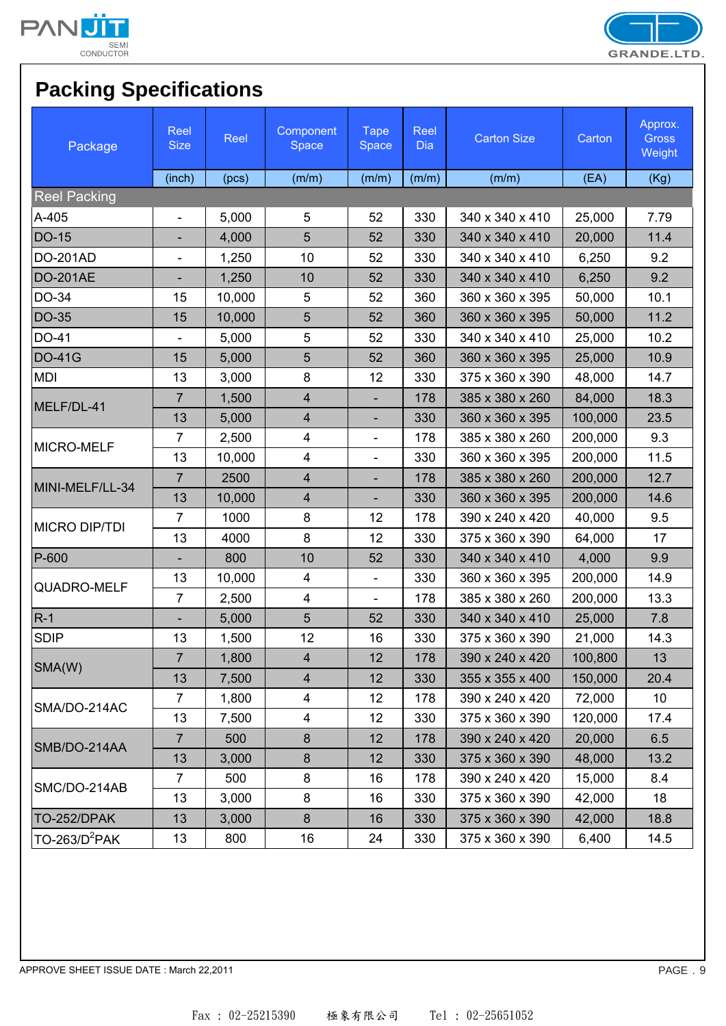



# **Packing Specifications**

| Package              | Reel<br><b>Size</b>      | Reel   | Component<br>Space      | <b>Tape</b><br>Space     | Reel<br>Dia | <b>Carton Size</b> | Carton  | Approx.<br><b>Gross</b><br>Weight |
|----------------------|--------------------------|--------|-------------------------|--------------------------|-------------|--------------------|---------|-----------------------------------|
|                      | (inch)                   | (pcs)  | (m/m)                   | (m/m)                    | (m/m)       | (m/m)              | (EA)    | (Kg)                              |
| <b>Reel Packing</b>  |                          |        |                         |                          |             |                    |         |                                   |
| A-405                | $\overline{\phantom{a}}$ | 5,000  | 5                       | 52                       | 330         | 340 x 340 x 410    | 25,000  | 7.79                              |
| <b>DO-15</b>         |                          | 4,000  | 5                       | 52                       | 330         | 340 x 340 x 410    | 20,000  | 11.4                              |
| <b>DO-201AD</b>      | $\overline{\phantom{0}}$ | 1,250  | 10                      | 52                       | 330         | 340 x 340 x 410    | 6,250   | 9.2                               |
| <b>DO-201AE</b>      | $\overline{\phantom{0}}$ | 1,250  | 10                      | 52                       | 330         | 340 x 340 x 410    | 6,250   | 9.2                               |
| DO-34                | 15                       | 10,000 | 5                       | 52                       | 360         | 360 x 360 x 395    | 50,000  | 10.1                              |
| <b>DO-35</b>         | 15                       | 10,000 | 5                       | 52                       | 360         | 360 x 360 x 395    | 50,000  | 11.2                              |
| DO-41                | $\overline{\phantom{0}}$ | 5,000  | 5                       | 52                       | 330         | 340 x 340 x 410    | 25,000  | 10.2                              |
| <b>DO-41G</b>        | 15                       | 5,000  | 5                       | 52                       | 360         | 360 x 360 x 395    | 25,000  | 10.9                              |
| <b>MDI</b>           | 13                       | 3,000  | 8                       | 12                       | 330         | 375 x 360 x 390    | 48,000  | 14.7                              |
| MELF/DL-41           | $\overline{7}$           | 1,500  | $\overline{\mathbf{4}}$ |                          | 178         | 385 x 380 x 260    | 84,000  | 18.3                              |
|                      | 13                       | 5,000  | $\overline{4}$          | $\overline{\phantom{a}}$ | 330         | 360 x 360 x 395    | 100,000 | 23.5                              |
| <b>MICRO-MELF</b>    | $\overline{7}$           | 2,500  | 4                       | $\overline{\phantom{a}}$ | 178         | 385 x 380 x 260    | 200,000 | 9.3                               |
|                      | 13                       | 10,000 | $\overline{\mathbf{4}}$ |                          | 330         | 360 x 360 x 395    | 200,000 | 11.5                              |
| MINI-MELF/LL-34      | $\overline{7}$           | 2500   | $\overline{4}$          |                          | 178         | 385 x 380 x 260    | 200,000 | 12.7                              |
|                      | 13                       | 10,000 | 4                       | $\overline{\phantom{a}}$ | 330         | 360 x 360 x 395    | 200,000 | 14.6                              |
| <b>MICRO DIP/TDI</b> | $\overline{7}$           | 1000   | 8                       | 12                       | 178         | 390 x 240 x 420    | 40,000  | 9.5                               |
|                      | 13                       | 4000   | 8                       | 12                       | 330         | 375 x 360 x 390    | 64,000  | 17                                |
| P-600                | L.                       | 800    | 10                      | 52                       | 330         | 340 x 340 x 410    | 4,000   | 9.9                               |
| QUADRO-MELF          | 13                       | 10,000 | 4                       | $\overline{\phantom{a}}$ | 330         | 360 x 360 x 395    | 200,000 | 14.9                              |
|                      | $\overline{7}$           | 2,500  | 4                       | $\overline{\phantom{a}}$ | 178         | 385 x 380 x 260    | 200,000 | 13.3                              |
| $R-1$                |                          | 5,000  | 5                       | 52                       | 330         | 340 x 340 x 410    | 25,000  | 7.8                               |
| <b>SDIP</b>          | 13                       | 1,500  | 12                      | 16                       | 330         | 375 x 360 x 390    | 21,000  | 14.3                              |
|                      | 7                        | 1,800  | 4                       | 12                       | 178         | 390 x 240 x 420    | 100,800 | 13                                |
| SMA(W)               | 13                       | 7,500  | $\overline{\mathbf{4}}$ | 12                       | 330         | 355 x 355 x 400    | 150,000 | 20.4                              |
|                      | $\overline{7}$           | 1,800  | 4                       | 12                       | 178         | 390 x 240 x 420    | 72,000  | 10                                |
| SMA/DO-214AC         | 13                       | 7,500  | $\overline{\mathbf{4}}$ | 12                       | 330         | 375 x 360 x 390    | 120,000 | 17.4                              |
|                      | $\overline{7}$           | 500    | 8                       | 12                       | 178         | 390 x 240 x 420    | 20,000  | 6.5                               |
| SMB/DO-214AA         | 13                       | 3,000  | $\bf 8$                 | 12                       | 330         | 375 x 360 x 390    | 48,000  | 13.2                              |
|                      | $\overline{7}$           | 500    | 8                       | 16                       | 178         | 390 x 240 x 420    | 15,000  | 8.4                               |
| SMC/DO-214AB         | 13                       | 3,000  | 8                       | 16                       | 330         | 375 x 360 x 390    | 42,000  | 18                                |
| TO-252/DPAK          | 13                       | 3,000  | $\bf 8$                 | 16                       | 330         | 375 x 360 x 390    | 42,000  | 18.8                              |
| $TO-263/D2PAK$       | 13                       | 800    | 16                      | 24                       | 330         | 375 x 360 x 390    | 6,400   | 14.5                              |

APPROVE SHEET ISSUE DATE : March 22,2011 **PAGE .** 9